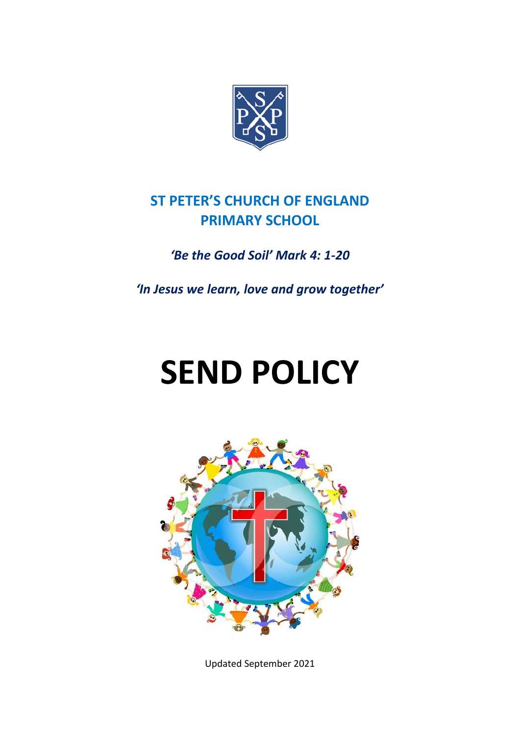

# **ST PETER'S CHURCH OF ENGLAND PRIMARY SCHOOL**

## *'Be the Good Soil' Mark 4: 1-20*

*'In Jesus we learn, love and grow together'*

# **SEND POLICY**



Updated September 2021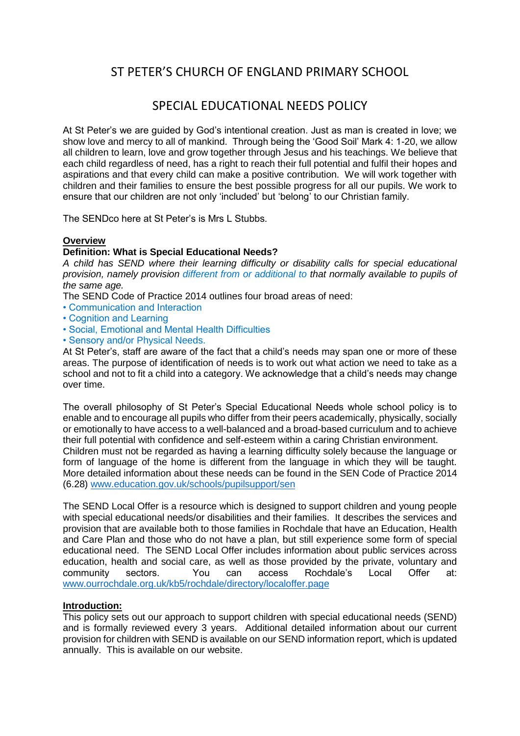### ST PETER'S CHURCH OF ENGLAND PRIMARY SCHOOL

#### SPECIAL EDUCATIONAL NEEDS POLICY

At St Peter's we are guided by God's intentional creation. Just as man is created in love; we show love and mercy to all of mankind. Through being the 'Good Soil' Mark 4: 1-20, we allow all children to learn, love and grow together through Jesus and his teachings. We believe that each child regardless of need, has a right to reach their full potential and fulfil their hopes and aspirations and that every child can make a positive contribution. We will work together with children and their families to ensure the best possible progress for all our pupils. We work to ensure that our children are not only 'included' but 'belong' to our Christian family.

The SENDco here at St Peter's is Mrs L Stubbs.

#### **Overview**

#### **Definition: What is Special Educational Needs?**

*A child has SEND where their learning difficulty or disability calls for special educational provision, namely provision different from or additional to that normally available to pupils of the same age.*

The SEND Code of Practice 2014 outlines four broad areas of need:

- Communication and Interaction
- Cognition and Learning
- Social, Emotional and Mental Health Difficulties
- Sensory and/or Physical Needs.

At St Peter's, staff are aware of the fact that a child's needs may span one or more of these areas. The purpose of identification of needs is to work out what action we need to take as a school and not to fit a child into a category. We acknowledge that a child's needs may change over time.

The overall philosophy of St Peter's Special Educational Needs whole school policy is to enable and to encourage all pupils who differ from their peers academically, physically, socially or emotionally to have access to a well-balanced and a broad-based curriculum and to achieve their full potential with confidence and self-esteem within a caring Christian environment. Children must not be regarded as having a learning difficulty solely because the language or form of language of the home is different from the language in which they will be taught. More detailed information about these needs can be found in the SEN Code of Practice 2014 (6.28) [www.education.gov.uk/schools/pupilsupport/sen](http://www.education.gov.uk/schools/pupilsupport/sen)

The SEND Local Offer is a resource which is designed to support children and young people with special educational needs/or disabilities and their families. It describes the services and provision that are available both to those families in Rochdale that have an Education, Health and Care Plan and those who do not have a plan, but still experience some form of special educational need. The SEND Local Offer includes information about public services across education, health and social care, as well as those provided by the private, voluntary and community sectors. You can access Rochdale's Local Offer at: [www.ourrochdale.org.uk/kb5/rochdale/directory/localoffer.page](http://www.ourrochdale.org.uk/kb5/rochdale/directory/localoffer.page) 

#### **Introduction:**

This policy sets out our approach to support children with special educational needs (SEND) and is formally reviewed every 3 years. Additional detailed information about our current provision for children with SEND is available on our SEND information report, which is updated annually. This is available on our website.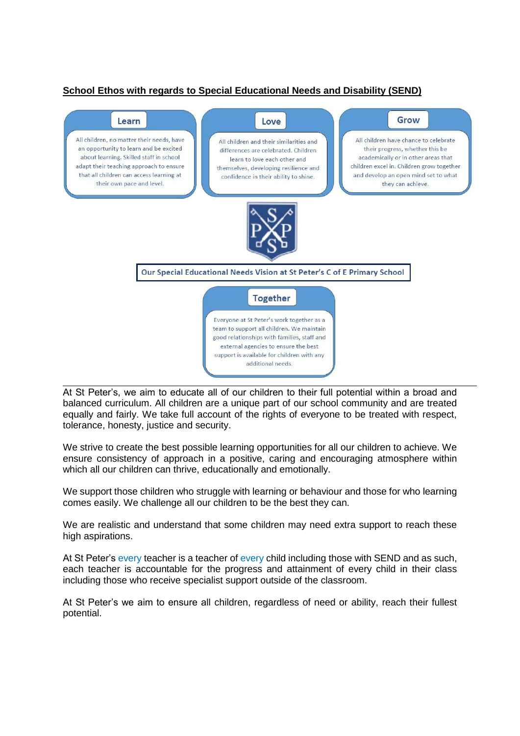#### **School Ethos with regards to Special Educational Needs and Disability (SEND)**



At St Peter's, we aim to educate all of our children to their full potential within a broad and balanced curriculum. All children are a unique part of our school community and are treated equally and fairly. We take full account of the rights of everyone to be treated with respect, tolerance, honesty, justice and security.

We strive to create the best possible learning opportunities for all our children to achieve. We ensure consistency of approach in a positive, caring and encouraging atmosphere within which all our children can thrive, educationally and emotionally.

We support those children who struggle with learning or behaviour and those for who learning comes easily. We challenge all our children to be the best they can.

We are realistic and understand that some children may need extra support to reach these high aspirations.

At St Peter's every teacher is a teacher of every child including those with SEND and as such, each teacher is accountable for the progress and attainment of every child in their class including those who receive specialist support outside of the classroom.

At St Peter's we aim to ensure all children, regardless of need or ability, reach their fullest potential.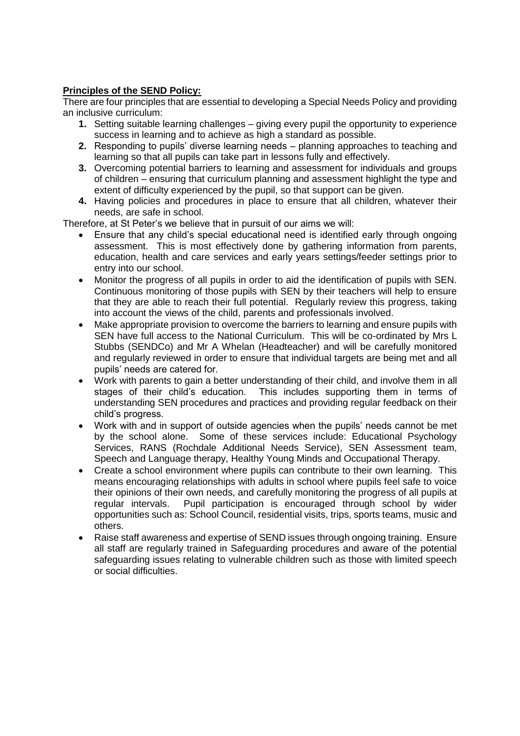#### **Principles of the SEND Policy:**

There are four principles that are essential to developing a Special Needs Policy and providing an inclusive curriculum:

- **1.** Setting suitable learning challenges giving every pupil the opportunity to experience success in learning and to achieve as high a standard as possible.
- **2.** Responding to pupils' diverse learning needs planning approaches to teaching and learning so that all pupils can take part in lessons fully and effectively.
- **3.** Overcoming potential barriers to learning and assessment for individuals and groups of children – ensuring that curriculum planning and assessment highlight the type and extent of difficulty experienced by the pupil, so that support can be given.
- **4.** Having policies and procedures in place to ensure that all children, whatever their needs, are safe in school.

Therefore, at St Peter's we believe that in pursuit of our aims we will:

- Ensure that any child's special educational need is identified early through ongoing assessment. This is most effectively done by gathering information from parents, education, health and care services and early years settings/feeder settings prior to entry into our school.
- Monitor the progress of all pupils in order to aid the identification of pupils with SEN. Continuous monitoring of those pupils with SEN by their teachers will help to ensure that they are able to reach their full potential. Regularly review this progress, taking into account the views of the child, parents and professionals involved.
- Make appropriate provision to overcome the barriers to learning and ensure pupils with SEN have full access to the National Curriculum. This will be co-ordinated by Mrs L Stubbs (SENDCo) and Mr A Whelan (Headteacher) and will be carefully monitored and regularly reviewed in order to ensure that individual targets are being met and all pupils' needs are catered for.
- Work with parents to gain a better understanding of their child, and involve them in all stages of their child's education. This includes supporting them in terms of understanding SEN procedures and practices and providing regular feedback on their child's progress.
- Work with and in support of outside agencies when the pupils' needs cannot be met by the school alone. Some of these services include: Educational Psychology Services, RANS (Rochdale Additional Needs Service), SEN Assessment team, Speech and Language therapy, Healthy Young Minds and Occupational Therapy.
- Create a school environment where pupils can contribute to their own learning. This means encouraging relationships with adults in school where pupils feel safe to voice their opinions of their own needs, and carefully monitoring the progress of all pupils at regular intervals. Pupil participation is encouraged through school by wider opportunities such as: School Council, residential visits, trips, sports teams, music and others.
- Raise staff awareness and expertise of SEND issues through ongoing training. Ensure all staff are regularly trained in Safeguarding procedures and aware of the potential safeguarding issues relating to vulnerable children such as those with limited speech or social difficulties.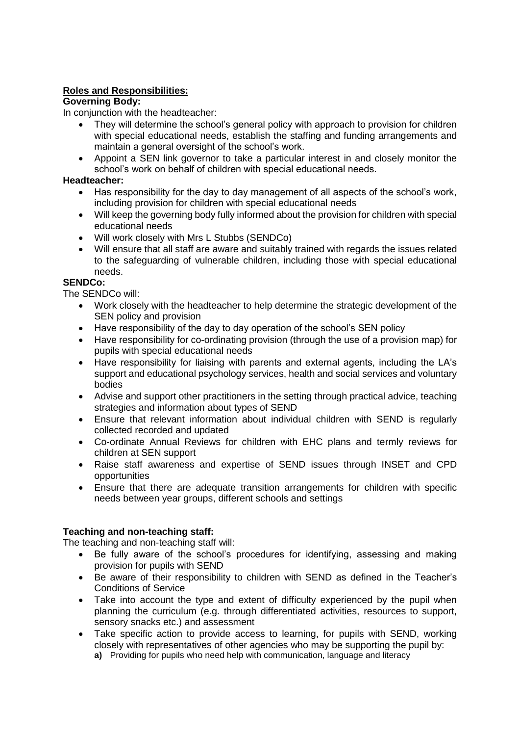#### **Roles and Responsibilities:**

#### **Governing Body:**

In conjunction with the headteacher:

- They will determine the school's general policy with approach to provision for children with special educational needs, establish the staffing and funding arrangements and maintain a general oversight of the school's work.
- Appoint a SEN link governor to take a particular interest in and closely monitor the school's work on behalf of children with special educational needs.

#### **Headteacher:**

- Has responsibility for the day to day management of all aspects of the school's work, including provision for children with special educational needs
- Will keep the governing body fully informed about the provision for children with special educational needs
- Will work closely with Mrs L Stubbs (SENDCo)
- Will ensure that all staff are aware and suitably trained with regards the issues related to the safeguarding of vulnerable children, including those with special educational needs.

#### **SENDCo:**

The SENDCo will:

- Work closely with the headteacher to help determine the strategic development of the SEN policy and provision
- Have responsibility of the day to day operation of the school's SEN policy
- Have responsibility for co-ordinating provision (through the use of a provision map) for pupils with special educational needs
- Have responsibility for liaising with parents and external agents, including the LA's support and educational psychology services, health and social services and voluntary bodies
- Advise and support other practitioners in the setting through practical advice, teaching strategies and information about types of SEND
- Ensure that relevant information about individual children with SEND is regularly collected recorded and updated
- Co-ordinate Annual Reviews for children with EHC plans and termly reviews for children at SEN support
- Raise staff awareness and expertise of SEND issues through INSET and CPD opportunities
- Ensure that there are adequate transition arrangements for children with specific needs between year groups, different schools and settings

#### **Teaching and non-teaching staff:**

The teaching and non-teaching staff will:

- Be fully aware of the school's procedures for identifying, assessing and making provision for pupils with SEND
- Be aware of their responsibility to children with SEND as defined in the Teacher's Conditions of Service
- Take into account the type and extent of difficulty experienced by the pupil when planning the curriculum (e.g. through differentiated activities, resources to support, sensory snacks etc.) and assessment
- Take specific action to provide access to learning, for pupils with SEND, working closely with representatives of other agencies who may be supporting the pupil by: **a)** Providing for pupils who need help with communication, language and literacy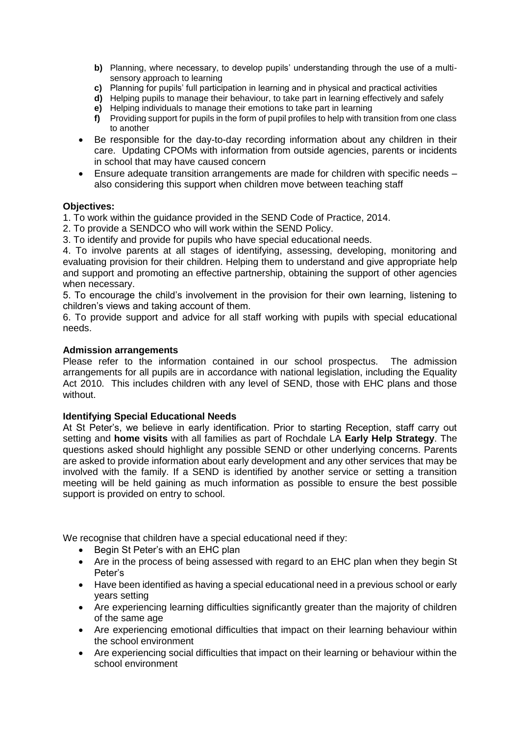- **b)** Planning, where necessary, to develop pupils' understanding through the use of a multisensory approach to learning
- **c)** Planning for pupils' full participation in learning and in physical and practical activities
- **d)** Helping pupils to manage their behaviour, to take part in learning effectively and safely
- **e)** Helping individuals to manage their emotions to take part in learning
- **f)** Providing support for pupils in the form of pupil profiles to help with transition from one class to another
- Be responsible for the day-to-day recording information about any children in their care. Updating CPOMs with information from outside agencies, parents or incidents in school that may have caused concern
- Ensure adequate transition arrangements are made for children with specific needs also considering this support when children move between teaching staff

#### **Objectives:**

- 1. To work within the guidance provided in the SEND Code of Practice, 2014.
- 2. To provide a SENDCO who will work within the SEND Policy.
- 3. To identify and provide for pupils who have special educational needs.

4. To involve parents at all stages of identifying, assessing, developing, monitoring and evaluating provision for their children. Helping them to understand and give appropriate help and support and promoting an effective partnership, obtaining the support of other agencies when necessary.

5. To encourage the child's involvement in the provision for their own learning, listening to children's views and taking account of them.

6. To provide support and advice for all staff working with pupils with special educational needs.

#### **Admission arrangements**

Please refer to the information contained in our school prospectus. The admission arrangements for all pupils are in accordance with national legislation, including the Equality Act 2010. This includes children with any level of SEND, those with EHC plans and those without.

#### **Identifying Special Educational Needs**

At St Peter's, we believe in early identification. Prior to starting Reception, staff carry out setting and **home visits** with all families as part of Rochdale LA **Early Help Strategy**. The questions asked should highlight any possible SEND or other underlying concerns. Parents are asked to provide information about early development and any other services that may be involved with the family. If a SEND is identified by another service or setting a transition meeting will be held gaining as much information as possible to ensure the best possible support is provided on entry to school.

We recognise that children have a special educational need if they:

- Begin St Peter's with an EHC plan
- Are in the process of being assessed with regard to an EHC plan when they begin St Peter's
- Have been identified as having a special educational need in a previous school or early years setting
- Are experiencing learning difficulties significantly greater than the majority of children of the same age
- Are experiencing emotional difficulties that impact on their learning behaviour within the school environment
- Are experiencing social difficulties that impact on their learning or behaviour within the school environment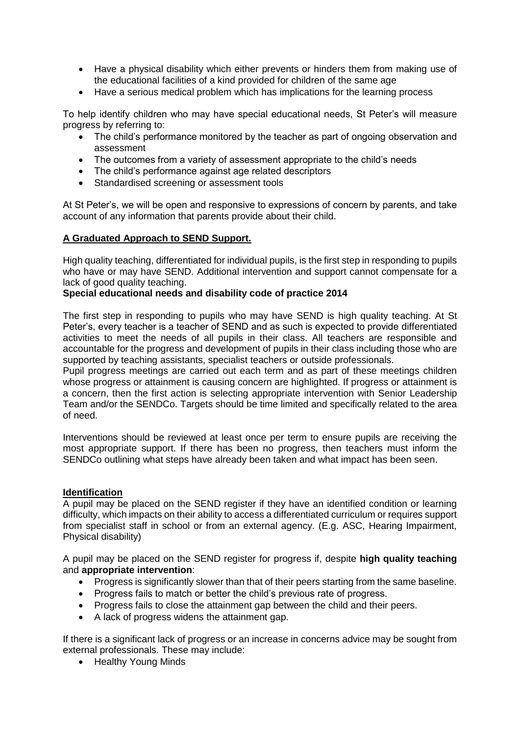- Have a physical disability which either prevents or hinders them from making use of the educational facilities of a kind provided for children of the same age
- Have a serious medical problem which has implications for the learning process

To help identify children who may have special educational needs, St Peter's will measure progress by referring to:

- The child's performance monitored by the teacher as part of ongoing observation and assessment
- The outcomes from a variety of assessment appropriate to the child's needs
- The child's performance against age related descriptors
- Standardised screening or assessment tools

At St Peter's, we will be open and responsive to expressions of concern by parents, and take account of any information that parents provide about their child.

#### **A Graduated Approach to SEND Support.**

High quality teaching, differentiated for individual pupils, is the first step in responding to pupils who have or may have SEND. Additional intervention and support cannot compensate for a lack of good quality teaching.

#### **Special educational needs and disability code of practice 2014**

The first step in responding to pupils who may have SEND is high quality teaching. At St Peter's, every teacher is a teacher of SEND and as such is expected to provide differentiated activities to meet the needs of all pupils in their class. All teachers are responsible and accountable for the progress and development of pupils in their class including those who are supported by teaching assistants, specialist teachers or outside professionals.

Pupil progress meetings are carried out each term and as part of these meetings children whose progress or attainment is causing concern are highlighted. If progress or attainment is a concern, then the first action is selecting appropriate intervention with Senior Leadership Team and/or the SENDCo. Targets should be time limited and specifically related to the area of need.

Interventions should be reviewed at least once per term to ensure pupils are receiving the most appropriate support. If there has been no progress, then teachers must inform the SENDCo outlining what steps have already been taken and what impact has been seen.

#### **Identification**

A pupil may be placed on the SEND register if they have an identified condition or learning difficulty, which impacts on their ability to access a differentiated curriculum or requires support from specialist staff in school or from an external agency. (E.g. ASC, Hearing Impairment, Physical disability)

A pupil may be placed on the SEND register for progress if, despite **high quality teaching**  and **appropriate intervention**:

- Progress is significantly slower than that of their peers starting from the same baseline.
- Progress fails to match or better the child's previous rate of progress.
- Progress fails to close the attainment gap between the child and their peers.
- A lack of progress widens the attainment gap.

If there is a significant lack of progress or an increase in concerns advice may be sought from external professionals. These may include:

• Healthy Young Minds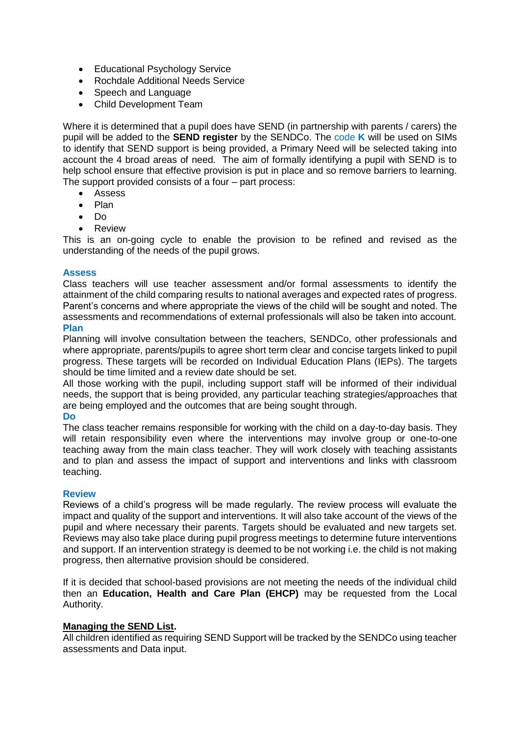- Educational Psychology Service
- Rochdale Additional Needs Service
- Speech and Language
- Child Development Team

Where it is determined that a pupil does have SEND (in partnership with parents / carers) the pupil will be added to the **SEND register** by the SENDCo. The code **K** will be used on SIMs to identify that SEND support is being provided, a Primary Need will be selected taking into account the 4 broad areas of need. The aim of formally identifying a pupil with SEND is to help school ensure that effective provision is put in place and so remove barriers to learning. The support provided consists of a four – part process:

- Assess
- Plan
- $\bullet$  Do
- Review

This is an on-going cycle to enable the provision to be refined and revised as the understanding of the needs of the pupil grows.

#### **Assess**

Class teachers will use teacher assessment and/or formal assessments to identify the attainment of the child comparing results to national averages and expected rates of progress. Parent's concerns and where appropriate the views of the child will be sought and noted. The assessments and recommendations of external professionals will also be taken into account. **Plan** 

Planning will involve consultation between the teachers, SENDCo, other professionals and where appropriate, parents/pupils to agree short term clear and concise targets linked to pupil progress. These targets will be recorded on Individual Education Plans (IEPs). The targets should be time limited and a review date should be set.

All those working with the pupil, including support staff will be informed of their individual needs, the support that is being provided, any particular teaching strategies/approaches that are being employed and the outcomes that are being sought through.

#### **Do**

The class teacher remains responsible for working with the child on a day-to-day basis. They will retain responsibility even where the interventions may involve group or one-to-one teaching away from the main class teacher. They will work closely with teaching assistants and to plan and assess the impact of support and interventions and links with classroom teaching.

#### **Review**

Reviews of a child's progress will be made regularly. The review process will evaluate the impact and quality of the support and interventions. It will also take account of the views of the pupil and where necessary their parents. Targets should be evaluated and new targets set. Reviews may also take place during pupil progress meetings to determine future interventions and support. If an intervention strategy is deemed to be not working i.e. the child is not making progress, then alternative provision should be considered.

If it is decided that school-based provisions are not meeting the needs of the individual child then an **Education, Health and Care Plan (EHCP)** may be requested from the Local Authority.

#### **Managing the SEND List.**

All children identified as requiring SEND Support will be tracked by the SENDCo using teacher assessments and Data input.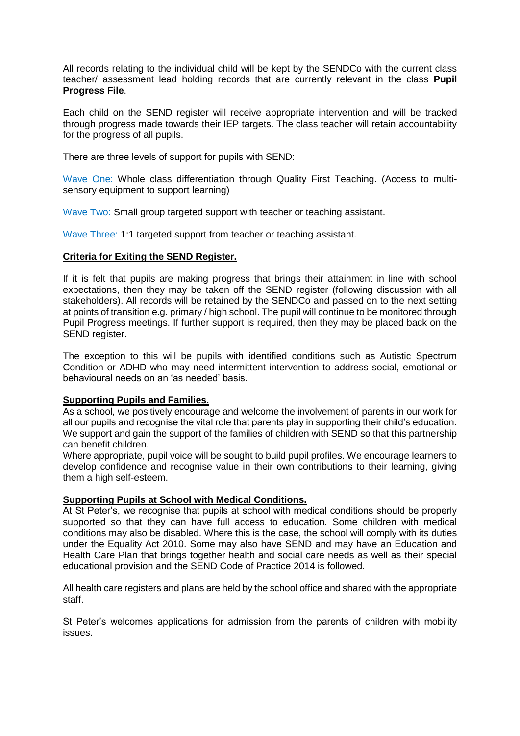All records relating to the individual child will be kept by the SENDCo with the current class teacher/ assessment lead holding records that are currently relevant in the class **Pupil Progress File**.

Each child on the SEND register will receive appropriate intervention and will be tracked through progress made towards their IEP targets. The class teacher will retain accountability for the progress of all pupils.

There are three levels of support for pupils with SEND:

Wave One: Whole class differentiation through Quality First Teaching. (Access to multisensory equipment to support learning)

Wave Two: Small group targeted support with teacher or teaching assistant.

Wave Three: 1:1 targeted support from teacher or teaching assistant.

#### **Criteria for Exiting the SEND Register.**

If it is felt that pupils are making progress that brings their attainment in line with school expectations, then they may be taken off the SEND register (following discussion with all stakeholders). All records will be retained by the SENDCo and passed on to the next setting at points of transition e.g. primary / high school. The pupil will continue to be monitored through Pupil Progress meetings. If further support is required, then they may be placed back on the SEND register.

The exception to this will be pupils with identified conditions such as Autistic Spectrum Condition or ADHD who may need intermittent intervention to address social, emotional or behavioural needs on an 'as needed' basis.

#### **Supporting Pupils and Families.**

As a school, we positively encourage and welcome the involvement of parents in our work for all our pupils and recognise the vital role that parents play in supporting their child's education. We support and gain the support of the families of children with SEND so that this partnership can benefit children.

Where appropriate, pupil voice will be sought to build pupil profiles. We encourage learners to develop confidence and recognise value in their own contributions to their learning, giving them a high self-esteem.

#### **Supporting Pupils at School with Medical Conditions.**

At St Peter's, we recognise that pupils at school with medical conditions should be properly supported so that they can have full access to education. Some children with medical conditions may also be disabled. Where this is the case, the school will comply with its duties under the Equality Act 2010. Some may also have SEND and may have an Education and Health Care Plan that brings together health and social care needs as well as their special educational provision and the SEND Code of Practice 2014 is followed.

All health care registers and plans are held by the school office and shared with the appropriate staff.

St Peter's welcomes applications for admission from the parents of children with mobility issues.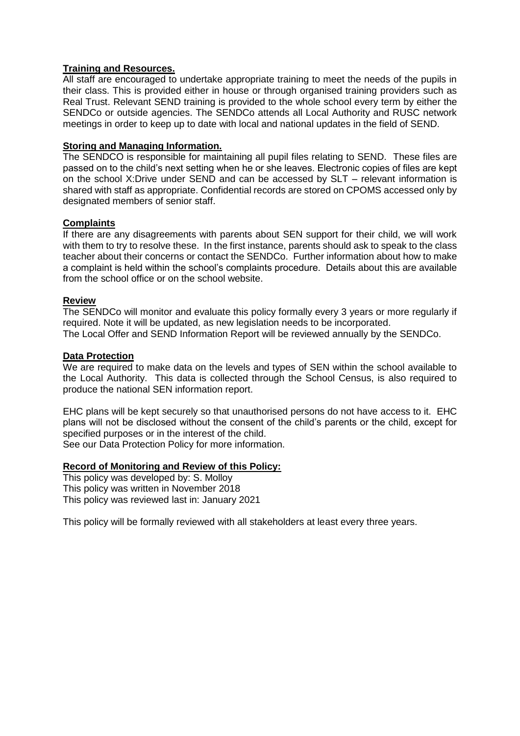#### **Training and Resources.**

All staff are encouraged to undertake appropriate training to meet the needs of the pupils in their class. This is provided either in house or through organised training providers such as Real Trust. Relevant SEND training is provided to the whole school every term by either the SENDCo or outside agencies. The SENDCo attends all Local Authority and RUSC network meetings in order to keep up to date with local and national updates in the field of SEND.

#### **Storing and Managing Information.**

The SENDCO is responsible for maintaining all pupil files relating to SEND. These files are passed on to the child's next setting when he or she leaves. Electronic copies of files are kept on the school X:Drive under SEND and can be accessed by SLT – relevant information is shared with staff as appropriate. Confidential records are stored on CPOMS accessed only by designated members of senior staff.

#### **Complaints**

If there are any disagreements with parents about SEN support for their child, we will work with them to try to resolve these. In the first instance, parents should ask to speak to the class teacher about their concerns or contact the SENDCo. Further information about how to make a complaint is held within the school's complaints procedure. Details about this are available from the school office or on the school website.

#### **Review**

The SENDCo will monitor and evaluate this policy formally every 3 years or more regularly if required. Note it will be updated, as new legislation needs to be incorporated. The Local Offer and SEND Information Report will be reviewed annually by the SENDCo.

#### **Data Protection**

We are required to make data on the levels and types of SEN within the school available to the Local Authority. This data is collected through the School Census, is also required to produce the national SEN information report.

EHC plans will be kept securely so that unauthorised persons do not have access to it. EHC plans will not be disclosed without the consent of the child's parents or the child, except for specified purposes or in the interest of the child.

See our Data Protection Policy for more information.

#### **Record of Monitoring and Review of this Policy:**

This policy was developed by: S. Molloy This policy was written in November 2018 This policy was reviewed last in: January 2021

This policy will be formally reviewed with all stakeholders at least every three years.